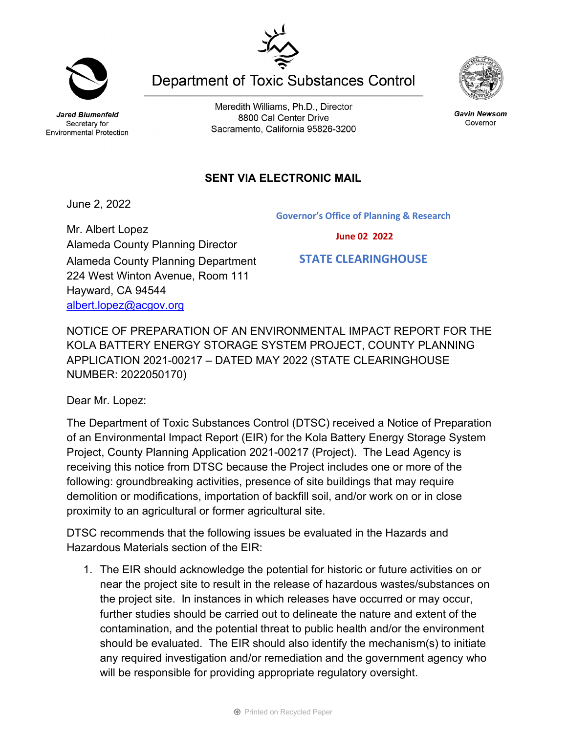Secretary for

Meredith Williams, Ph.D., Director 8800 Cal Center Drive Sacramento, California 95826-3200

**Department of Toxic Substances Control** 

## **SENT VIA ELECTRONIC MAIL**

June 2, 2022

Mr. Albert Lopez Alameda County Planning Director Alameda County Planning Department 224 West Winton Avenue, Room 111 Hayward, CA 94544 [albert.lopez@acgov.org](mailto:albert.lopez@acgov.org)

NOTICE OF PREPARATION OF AN ENVIRONMENTAL IMPACT REPORT FOR THE KOLA BATTERY ENERGY STORAGE SYSTEM PROJECT, COUNTY PLANNING APPLICATION 2021-00217 – DATED MAY 2022 (STATE CLEARINGHOUSE NUMBER: 2022050170)

Dear Mr. Lopez:

The Department of Toxic Substances Control (DTSC) received a Notice of Preparation of an Environmental Impact Report (EIR) for the Kola Battery Energy Storage System Project, County Planning Application 2021-00217 (Project). The Lead Agency is receiving this notice from DTSC because the Project includes one or more of the following: groundbreaking activities, presence of site buildings that may require demolition or modifications, importation of backfill soil, and/or work on or in close proximity to an agricultural or former agricultural site.

DTSC recommends that the following issues be evaluated in the Hazards and Hazardous Materials section of the EIR:

1. The EIR should acknowledge the potential for historic or future activities on or near the project site to result in the release of hazardous wastes/substances on the project site. In instances in which releases have occurred or may occur, further studies should be carried out to delineate the nature and extent of the contamination, and the potential threat to public health and/or the environment should be evaluated. The EIR should also identify the mechanism(s) to initiate any required investigation and/or remediation and the government agency who will be responsible for providing appropriate regulatory oversight.







Jared Blumenfeld Environmental Protection

 **June 02 2022**

 **STATE CLEARINGHOUSE**

**Governor's Office of Planning & Research**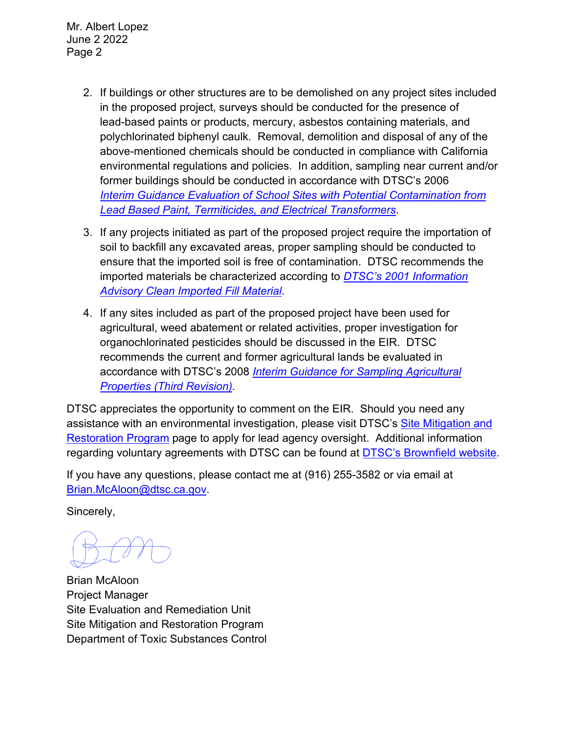Mr. Albert Lopez June 2 2022 Page 2

- 2. If buildings or other structures are to be demolished on any project sites included in the proposed project, surveys should be conducted for the presence of lead-based paints or products, mercury, asbestos containing materials, and polychlorinated biphenyl caulk. Removal, demolition and disposal of any of the above-mentioned chemicals should be conducted in compliance with California environmental regulations and policies. In addition, sampling near current and/or former buildings should be conducted in accordance with DTSC's 2006 *Interim [Guidance Evaluation of School Sites with Potential Contamination from](https://dtsc.ca.gov/2020/04/17/document-request/?wpf337186_14=https://dtsc.ca.gov/wpcontent/uploads/sites/31/2018/09/Guidance_Lead_%20%20Contamination_050118.pdf)  [Lead Based Paint, Termiticides, and Electrical Transformers](https://dtsc.ca.gov/2020/04/17/document-request/?wpf337186_14=https://dtsc.ca.gov/wpcontent/uploads/sites/31/2018/09/Guidance_Lead_%20%20Contamination_050118.pdf)*.
- 3. If any projects initiated as part of the proposed project require the importation of soil to backfill any excavated areas, proper sampling should be conducted to ensure that the imported soil is free of contamination. DTSC recommends the imported materials be characterized according to *[DTSC's 2001 Information](https://dtsc.ca.gov/wp-content/uploads/sites/31/2018/09/SMP_FS_Cleanfill-Schools.pdf)  [Advisory Clean Imported Fill Material](https://dtsc.ca.gov/wp-content/uploads/sites/31/2018/09/SMP_FS_Cleanfill-Schools.pdf)*.
- 4. If any sites included as part of the proposed project have been used for agricultural, weed abatement or related activities, proper investigation for organochlorinated pesticides should be discussed in the EIR. DTSC recommends the current and former agricultural lands be evaluated in accordance with DTSC's 2008 *[Interim Guidance for Sampling Agricultural](https://dtsc.ca.gov/wp-content/uploads/sites/31/2018/09/Ag-Guidance-Rev-3-August-7-2008-2.pdf)  [Properties \(Third Revision\).](https://dtsc.ca.gov/wp-content/uploads/sites/31/2018/09/Ag-Guidance-Rev-3-August-7-2008-2.pdf)*

DTSC appreciates the opportunity to comment on the EIR. Should you need any assistance with an environmental investigation, please visit DTSC's [Site Mitigation and](https://dtsc.ca.gov/brownfields/voluntary-agreements-quick-reference-guide/) [Restoration Program](https://dtsc.ca.gov/brownfields/voluntary-agreements-quick-reference-guide/) page to apply for lead agency oversight. Additional information regarding voluntary agreements with DTSC can be found at **DTSC's Brownfield website**.

If you have any questions, please contact me at (916) 255-3582 or via email at [Brian.McAloon@dtsc.ca.gov.](mailto:Brian.McAloon@dtsc.ca.gov)

Sincerely,

Brian McAloon Project Manager Site Evaluation and Remediation Unit Site Mitigation and Restoration Program Department of Toxic Substances Control